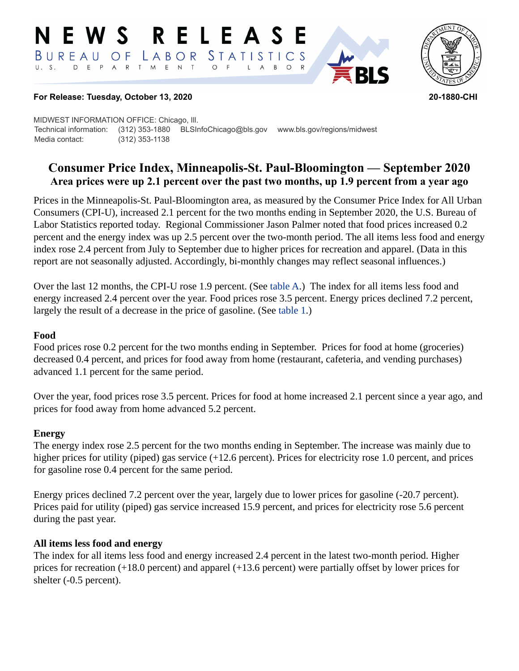#### RELEASE E W S BUREAU STATISTICS O F LABOR D E P A R T M E N T  $\circ$  $\overline{A}$  $B$  $\circ$  $\mathsf{L}$



### **For Release: Tuesday, October 13, 2020 20-1880-CHI**

MIDWEST INFORMATION OFFICE: Chicago, Ill. Technical information: (312) 353-1880 BLSInfoChicago@bls.gov www.bls.gov/regions/midwest Media contact: (312) 353-1138

# **Consumer Price Index, Minneapolis-St. Paul-Bloomington — September 2020 Area prices were up 2.1 percent over the past two months, up 1.9 percent from a year ago**

Prices in the Minneapolis-St. Paul-Bloomington area, as measured by the Consumer Price Index for All Urban Consumers (CPI-U), increased 2.1 percent for the two months ending in September 2020, the U.S. Bureau of Labor Statistics reported today. Regional Commissioner Jason Palmer noted that food prices increased 0.2 percent and the energy index was up 2.5 percent over the two-month period. The all items less food and energy index rose 2.4 percent from July to September due to higher prices for recreation and apparel. (Data in this report are not seasonally adjusted. Accordingly, bi-monthly changes may reflect seasonal influences.)

Over the last 12 months, the CPI-U rose 1.9 percent. (See [table A](#page-1-0).) The index for all items less food and energy increased 2.4 percent over the year. Food prices rose 3.5 percent. Energy prices declined 7.2 percent, largely the result of a decrease in the price of gasoline. (See [table 1](#page-3-0).)

### **Food**

Food prices rose 0.2 percent for the two months ending in September. Prices for food at home (groceries) decreased 0.4 percent, and prices for food away from home (restaurant, cafeteria, and vending purchases) advanced 1.1 percent for the same period.

Over the year, food prices rose 3.5 percent. Prices for food at home increased 2.1 percent since a year ago, and prices for food away from home advanced 5.2 percent.

### **Energy**

The energy index rose 2.5 percent for the two months ending in September. The increase was mainly due to higher prices for utility (piped) gas service (+12.6 percent). Prices for electricity rose 1.0 percent, and prices for gasoline rose 0.4 percent for the same period.

Energy prices declined 7.2 percent over the year, largely due to lower prices for gasoline (-20.7 percent). Prices paid for utility (piped) gas service increased 15.9 percent, and prices for electricity rose 5.6 percent during the past year.

### **All items less food and energy**

The index for all items less food and energy increased 2.4 percent in the latest two-month period. Higher prices for recreation (+18.0 percent) and apparel (+13.6 percent) were partially offset by lower prices for shelter (-0.5 percent).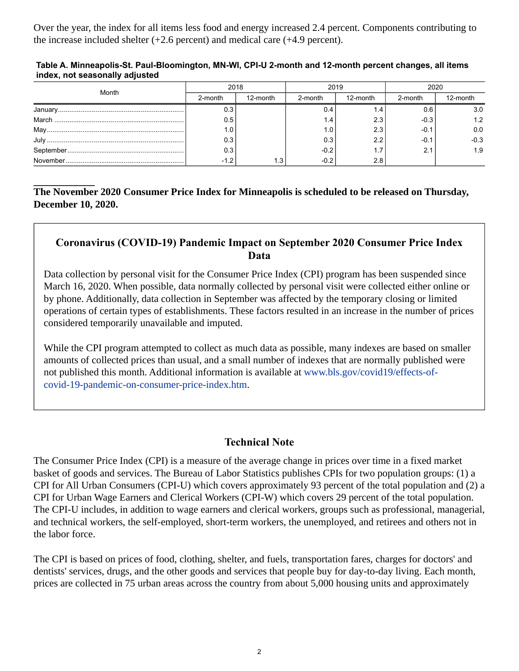Over the year, the index for all items less food and energy increased 2.4 percent. Components contributing to the increase included shelter (+2.6 percent) and medical care (+4.9 percent).

#### <span id="page-1-0"></span>**Table A. Minneapolis-St. Paul-Bloomington, MN-WI, CPI-U 2-month and 12-month percent changes, all items index, not seasonally adjusted**

| Month | 2018    |          | 2019    |          | 2020    |          |
|-------|---------|----------|---------|----------|---------|----------|
|       | 2-month | 12-month | 2-month | 12-month | 2-month | 12-month |
|       | 0.3     |          | ∶ 4. ل  |          |         | 3.0      |
|       | 0.5     |          | 4.،     | 2.3      | $-0.3$  | 1.2      |
|       | 1.0     |          | 0.،     | 2.3      | -0.1    | 0.0      |
|       | 0.3     |          | 0.3     |          |         | $-0.3$   |
|       | 0.3     |          | $-0.2$  |          | 2.1     | 1.9      |
|       | $-1.2$  |          | $-0.2$  | 2.8      |         |          |

### **The November 2020 Consumer Price Index for Minneapolis is scheduled to be released on Thursday, December 10, 2020.**

## **Coronavirus (COVID-19) Pandemic Impact on September 2020 Consumer Price Index Data**

Data collection by personal visit for the Consumer Price Index (CPI) program has been suspended since March 16, 2020. When possible, data normally collected by personal visit were collected either online or by phone. Additionally, data collection in September was affected by the temporary closing or limited operations of certain types of establishments. These factors resulted in an increase in the number of prices considered temporarily unavailable and imputed.

While the CPI program attempted to collect as much data as possible, many indexes are based on smaller amounts of collected prices than usual, and a small number of indexes that are normally published were not published this month. Additional information is available at [www.bls.gov/covid19/effects-of](https://www.bls.gov/covid19/effects-of-covid-19-pandemic-on-consumer-price-index.htm)[covid-19-pandemic-on-consumer-price-index.htm.](https://www.bls.gov/covid19/effects-of-covid-19-pandemic-on-consumer-price-index.htm)

### **Technical Note**

The Consumer Price Index (CPI) is a measure of the average change in prices over time in a fixed market basket of goods and services. The Bureau of Labor Statistics publishes CPIs for two population groups: (1) a CPI for All Urban Consumers (CPI-U) which covers approximately 93 percent of the total population and (2) a CPI for Urban Wage Earners and Clerical Workers (CPI-W) which covers 29 percent of the total population. The CPI-U includes, in addition to wage earners and clerical workers, groups such as professional, managerial, and technical workers, the self-employed, short-term workers, the unemployed, and retirees and others not in the labor force.

The CPI is based on prices of food, clothing, shelter, and fuels, transportation fares, charges for doctors' and dentists' services, drugs, and the other goods and services that people buy for day-to-day living. Each month, prices are collected in 75 urban areas across the country from about 5,000 housing units and approximately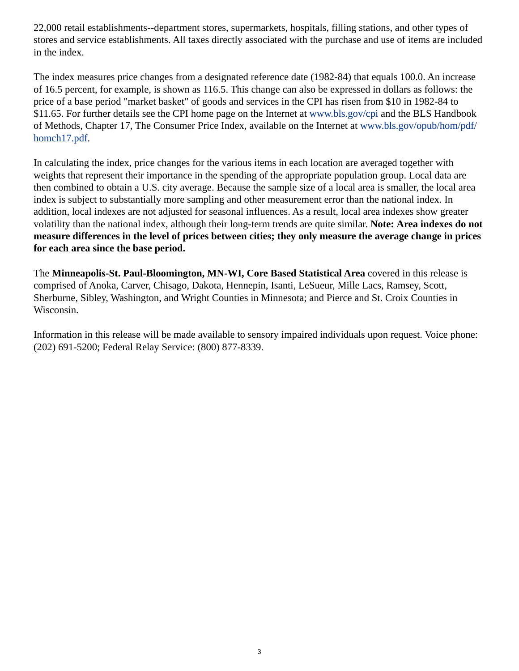22,000 retail establishments--department stores, supermarkets, hospitals, filling stations, and other types of stores and service establishments. All taxes directly associated with the purchase and use of items are included in the index.

The index measures price changes from a designated reference date (1982-84) that equals 100.0. An increase of 16.5 percent, for example, is shown as 116.5. This change can also be expressed in dollars as follows: the price of a base period "market basket" of goods and services in the CPI has risen from \$10 in 1982-84 to \$11.65. For further details see the CPI home page on the Internet at [www.bls.gov/cpi](https://www.bls.gov/cpi) and the BLS Handbook of Methods, Chapter 17, The Consumer Price Index, available on the Internet at [www.bls.gov/opub/hom/pdf/](https://www.bls.gov/opub/hom/pdf/homch17.pdf) [homch17.pdf](https://www.bls.gov/opub/hom/pdf/homch17.pdf).

In calculating the index, price changes for the various items in each location are averaged together with weights that represent their importance in the spending of the appropriate population group. Local data are then combined to obtain a U.S. city average. Because the sample size of a local area is smaller, the local area index is subject to substantially more sampling and other measurement error than the national index. In addition, local indexes are not adjusted for seasonal influences. As a result, local area indexes show greater volatility than the national index, although their long-term trends are quite similar. **Note: Area indexes do not measure differences in the level of prices between cities; they only measure the average change in prices for each area since the base period.**

The **Minneapolis-St. Paul-Bloomington, MN-WI, Core Based Statistical Area** covered in this release is comprised of Anoka, Carver, Chisago, Dakota, Hennepin, Isanti, LeSueur, Mille Lacs, Ramsey, Scott, Sherburne, Sibley, Washington, and Wright Counties in Minnesota; and Pierce and St. Croix Counties in Wisconsin.

Information in this release will be made available to sensory impaired individuals upon request. Voice phone: (202) 691-5200; Federal Relay Service: (800) 877-8339.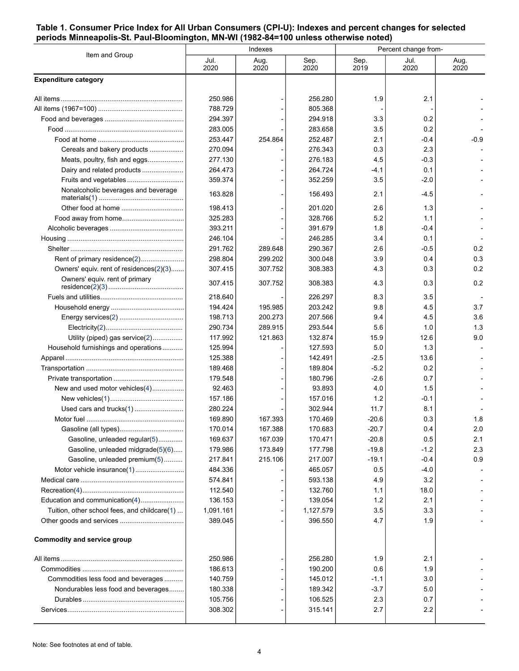#### <span id="page-3-0"></span>**Table 1. Consumer Price Index for All Urban Consumers (CPI-U): Indexes and percent changes for selected periods Minneapolis-St. Paul-Bloomington, MN-WI (1982-84=100 unless otherwise noted)**

| Item and Group                                                     | Indexes            |                    |                    | Percent change from- |              |              |
|--------------------------------------------------------------------|--------------------|--------------------|--------------------|----------------------|--------------|--------------|
|                                                                    | Jul.<br>2020       | Aug.<br>2020       | Sep.<br>2020       | Sep.<br>2019         | Jul.<br>2020 | Aug.<br>2020 |
| <b>Expenditure category</b>                                        |                    |                    |                    |                      |              |              |
|                                                                    | 250.986            |                    | 256.280            | 1.9                  | 2.1          |              |
|                                                                    | 788.729            |                    | 805.368            |                      |              |              |
|                                                                    | 294.397            |                    | 294.918            | 3.3                  | 0.2          |              |
|                                                                    | 283.005            |                    | 283.658            | 3.5                  | 0.2          |              |
|                                                                    | 253.447            | 254.864            | 252.487            | 2.1                  | $-0.4$       | $-0.9$       |
| Cereals and bakery products                                        | 270.094            |                    | 276.343            | 0.3                  | 2.3          |              |
| Meats, poultry, fish and eggs                                      | 277.130            |                    | 276.183            | 4.5                  | $-0.3$       |              |
| Dairy and related products                                         | 264.473            |                    | 264.724            | $-4.1$               | 0.1          |              |
| Fruits and vegetables                                              | 359.374            |                    | 352.259            | 3.5                  | $-2.0$       |              |
| Nonalcoholic beverages and beverage                                | 163.828            |                    | 156.493            | 2.1                  | $-4.5$       |              |
|                                                                    | 198.413            |                    | 201.020            | 2.6                  | 1.3          |              |
|                                                                    | 325.283            |                    | 328.766            | 5.2                  | 1.1          |              |
|                                                                    | 393.211            |                    | 391.679            | 1.8                  | $-0.4$       |              |
|                                                                    | 246.104            |                    | 246.285            | 3.4                  | 0.1          |              |
|                                                                    | 291.762            | 289.648            | 290.367            | 2.6                  | $-0.5$       | 0.2          |
| Rent of primary residence(2)                                       | 298.804            | 299.202            | 300.048            | 3.9                  | 0.4          | 0.3          |
| Owners' equiv. rent of residences(2)(3)                            | 307.415            | 307.752            | 308.383            | 4.3                  | 0.3          | 0.2          |
| Owners' equiv. rent of primary                                     | 307.415            | 307.752            | 308.383            | 4.3                  | 0.3          | 0.2          |
|                                                                    | 218.640            |                    | 226.297            | 8.3                  | 35           |              |
|                                                                    | 194.424            | 195.985            | 203.242            | 9.8                  | 4.5          | 3.7          |
|                                                                    | 198.713            | 200.273            | 207.566            | 9.4                  | 4.5          | 3.6          |
|                                                                    | 290.734            | 289.915            | 293.544            | 5.6                  | 1.0          | 1.3          |
| Utility (piped) gas service(2)                                     | 117.992            | 121.863            | 132.874            | 15.9                 | 12.6         | 9.0          |
| Household furnishings and operations                               | 125.994            |                    | 127.593            | 5.0                  | 1.3          |              |
|                                                                    | 125.388            |                    | 142.491            | $-2.5$               | 13.6         |              |
|                                                                    | 189.468            |                    | 189.804            | $-5.2$               | 0.2          |              |
|                                                                    | 179.548            |                    | 180.796            | $-2.6$               | 0.7          |              |
| New and used motor vehicles(4)                                     | 92.463             |                    | 93.893             | 4.0                  | 1.5          |              |
|                                                                    | 157.186            |                    | 157.016            | 1.2                  | $-0.1$       |              |
| Used cars and trucks(1)                                            | 280.224            |                    | 302.944            | 11.7                 | 8.1          |              |
|                                                                    | 169.890            | 167.393            | 170.469            | $-20.6$              | 0.3          | 1.8          |
|                                                                    | 170.014<br>169.637 | 167.388<br>167.039 | 170.683<br>170.471 | $-20.7$<br>$-20.8$   | 0.4<br>0.5   | 2.0<br>2.1   |
| Gasoline, unleaded regular(5)<br>Gasoline, unleaded midgrade(5)(6) | 179.986            | 173.849            | 177.798            | $-19.8$              | $-1.2$       | 2.3          |
| Gasoline, unleaded premium(5)                                      | 217.841            | 215.106            | 217.007            | $-19.1$              | $-0.4$       | 0.9          |
| Motor vehicle insurance(1)                                         | 484.336            |                    | 465.057            | 0.5                  | $-4.0$       |              |
|                                                                    | 574.841            |                    | 593.138            | 4.9                  | 3.2          |              |
|                                                                    | 112.540            |                    | 132.760            | 1.1                  | 18.0         |              |
| Education and communication(4)                                     | 136.153            |                    | 139.054            | 1.2                  | 2.1          |              |
| Tuition, other school fees, and childcare(1)                       | 1,091.161          |                    | 1,127.579          | 3.5                  | 3.3          |              |
|                                                                    | 389.045            |                    | 396.550            | 4.7                  | 1.9          |              |
| Commodity and service group                                        |                    |                    |                    |                      |              |              |
|                                                                    | 250.986            |                    | 256.280            | 1.9                  | 2.1          |              |
|                                                                    | 186.613            |                    | 190.200            | 0.6                  | 1.9          |              |
| Commodities less food and beverages                                | 140.759            |                    | 145.012            | $-1.1$               | 3.0          |              |
| Nondurables less food and beverages                                | 180.338            |                    | 189.342            | $-3.7$               | 5.0          |              |
|                                                                    | 105.756            |                    | 106.525            | 2.3                  | 0.7          |              |
|                                                                    | 308.302            |                    | 315.141            | 2.7                  | 2.2          |              |
|                                                                    |                    |                    |                    |                      |              |              |